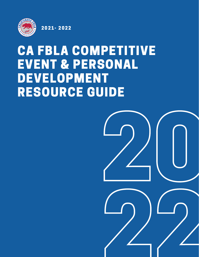

2021- 2022

# CA FBLA COMPETITIVE EVENT & PERSONAL DEVELOPMENT RESOURCE GUIDE

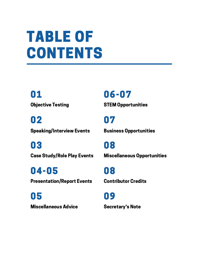# TABLE OF CONTENTS

Objective Testing 01

Speaking/Interview Events 02

Case Study/Role Play Events 03

Presentation/Report Events 04-05

Miscellaneous Advice 05

STEM Opportunities 06-07

Business Opportunities 07

Miscellaneous Opportunities 08

Contributor Credits 08

Secretary's Note 09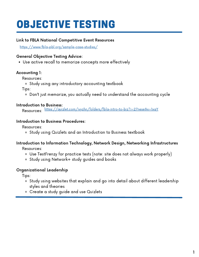### OBJECTIVE TESTING

#### Link to FBLA National Competitive Event Resources

<https://www.fbla-pbl.org/sample-case-studies/>

#### General Objective Testing Advice:

Use active recall to memorize concepts more effectively

#### Accounting 1:

Resources:

Study using any introductory accounting textbook

Tips:

Don't just memorize, you actually need to understand the accounting cycle

#### Introduction to Business:

Resources: <https://quizlet.com/ivyzhn/folders/fbla-intro-to-biz?i=27nese&x=1xqY>

#### Introduction to Business Procedures:

Resources:

o Study using Quizlets and an Introduction to Business textbook

#### Introduction to Information Technology, Network Design, Networking Infrastructures

Resources:

- Use TestFrenzy for practice tests (note: site does not always work properly)
- Study using Network+ study guides and books

#### Organizational Leadership

Tips:

- Study using websites that explain and go into detail about different leadership styles and theories
- Create a study guide and use Quizlets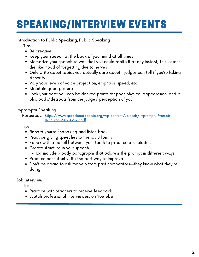## SPEAKING/INTERVIEW EVENTS

#### Introduction to Public Speaking, Public Speaking:

Tips:

- Be creative
- Keep your speech at the back of your mind at all times
- Memorize your speech so well that you could recite it at any instant; this lessens the likelihood of forgetting due to nerves
- Only write about topics you actually care about—judges can tell if you're faking sincerity
- Vary your levels of voice projection, emphasis, speed, etc.
- Maintain good posture
- Look your best; you can be docked points for poor physical appearance, and it also adds/detracts from the judges' perception of you

#### Impromptu Speaking:

Resources: [https://www.speechanddebate.org/wp-content/uploads/Impromptu-Prompts-](https://www.speechanddebate.org/wp-content/uploads/Impromptu-Prompts-Resource-2019-08-29.pdf)Resource-2019-08-29.pdf

Tips:

- Record yourself speaking and listen back
- Practice giving speeches to friends & family
- Speak with a pencil between your teeth to practice enunciation
- Create structure in your speech
	- Ex: include 3 body paragraphs that address the prompt in different ways
- Practice consistently; it's the best way to improve
- Don't be afraid to ask for help from past competitors—they know what they're doing

#### Job Interview:

Tips:

- Practice with teachers to receive feedback
- Watch professional interviewers on YouTube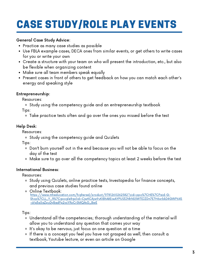# CASE STUDY/ROLE PLAY EVENTS

#### General Case Study Advice:

- Practice as many case studies as possible
- Use FBLA example cases, DECA ones from similar events, or get others to write cases for you or write your own
- Create a structure with your team on who will present the introduction, etc., but also be flexible when organizing content
- Make sure all team members speak equally
- Present cases in front of others to get feedback on how you can match each other's energy and speaking style

#### Entrepreneurship:

Resources:

Study using the competency guide and an entrepreneurship textbook

Tips:

Take practice tests often and go over the ones you missed before the test

#### Help Desk:

Resources:

Study using the competency guide and Quizlets

Tips:

- Don't burn yourself out in the end because you will not be able to focus on the day of the test
- Make sure to go over all the competency topics at least 2 weeks before the test

#### International Business:

Resources:

- o Study using Quizlets, online practice tests, Investopedia for finance concepts, and previous case studies found online
- Online Textbook: https://www.mheducation.com/highered/product/9781260262582?cid=ppc%7CHE%7CPaid-G-[Shop%7CLL\\_Y\\_R%7Cgoogle&gclid=CjwKCAjw9uKIBhA8EiwAYPUS3JNhNS5WTEJZDn7E7H6xrbkD4GWP64S](https://www.mheducation.com/highered/product/9781260262582?cid=ppc%7CHE%7CPaid-G-Shop%7CLL_Y_R%7Cgoogle&gclid=CjwKCAjw9uKIBhA8EiwAYPUS3JNhNS5WTEJZDn7E7H6xrbkD4GWP64S-sVq3a5aZpuDyBadPp2vcYRoCr5MQAvD_BwE) -sVq3a5aZpuDyBadPp2vcYRoCr5MQAvD\_BwE

Tips:

- Understand all the competencies; thorough understanding of the material will allow you to understand any question that comes your way
- It's okay to be nervous, just focus on one question at a time
- If there is a concept you feel you have not grasped as well, then consult a textbook, Youtube lecture, or even an article on Google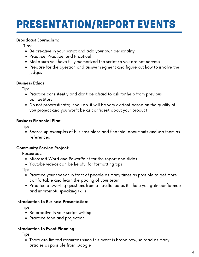### PRESENTATION/REPORT EVENTS

#### Broadcast Journalism:

Tips:

- Be creative in your script and add your own personality
- Practice, Practice, and Practice!
- Make sure you have fully memorized the script so you are not nervous
- Prepare for the question and answer segment and figure out how to involve the judges

#### Business Ethics:

Tips:

- Practice consistently and don't be afraid to ask for help from previous competitors
- Do not procrastinate; if you do, it will be very evident based on the quality of you project and you won't be as confident about your product

#### Business Financial Plan:

Tips:

Search up examples of business plans and financial documents and use them as references

#### Community Service Project:

Resources:

- Microsoft Word and PowerPoint for the report and slides
- Youtube videos can be helpful for formatting tips

Tips:

- Practice your speech in front of people as many times as possible to get more comfortable and learn the pacing of your team
- Practice answering questions from an audience as it'll help you gain confidence and impromptu speaking skills

#### Introduction to Business Presentation:

Tips:

- Be creative in your script-writing
- Practice tone and projection

#### Introduction to Event Planning:

Tips:

There are limited resources since this event is brand new, so read as many articles as possible from Google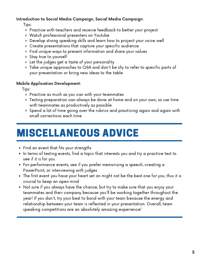#### Introduction to Social Media Campaign, Social Media Campaign:

Tips:

- Practice with teachers and receive feedback to better your project
- Watch professional presenters on Youtube
- Develop strong speaking skills and learn how to project your voice well
- Create presentations that capture your specific audience
- Find unique ways to present information and share your values
- Stay true to yourself
- Let the judges get a taste of your personality
- Take unique approaches to Q&A and don't be shy to refer to specific parts of your presentation or bring new ideas to the table

#### Mobile Application Development:

Tips:

- Practice as much as you can with your teammates
- Testing preparation can always be done at home and on your own, so use time with teammates as productively as possible
- Spend a lot of time going over the rubrics and practicing again and again with small corrections each time

### MISCELLANEOUS ADVICE

- Find an event that fits your strengths
- $\bullet$  In terms of testing events, find a topic that interests you and try a practice test to see if it is for you
- For performance events, see if you prefer memorizing a speech, creating a PowerPoint, or interviewing with judges
- The first event you have your heart set on might not be the best one for you, thus it is crucial to keep an open mind
- Not sure if you always have the chance, but try to make sure that you enjoy your teammates and their company because you'll be working together throughout the year! If you don't, try your best to bond with your team because the energy and relationship between your team is reflected in your presentation. Overall, team speaking competitions are an absolutely amazing experience!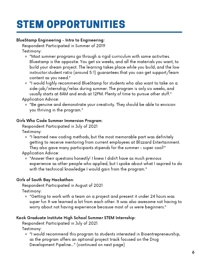## STEM OPPORTUNITIES

#### BlueStamp Engineering - Intro to Engineering:

Respondent Participated in Summer of 2019

Testimony:

- "Most summer programs go through a rigid curriculum with some activities. Bluestamp is the opposite. You get six weeks, and all the materials you want, to build your dream project. The learning takes place while you build, and the low instructor:student ratio (around 5:1) guarantees that you can get support/learn content as you need."
- "I would highly recommend BlueStamp for students who also want to take on a side-job/internship/relax during summer. The program is only six weeks, and usually starts at 8AM and ends at 12PM. Plenty of time to pursue other stuff." Application Advice:
	- "Be genuine and demonstrate your creativity. They should be able to envision you thriving in the program."

#### Girls Who Code Summer Immersion Program:

Respondent Participated in July of 2021

Testimony:

"I learned new coding methods, but the most memorable part was definitely getting to receive mentoring from current employees at Blizzard Entertainment. They also gave many participants stipends for the summer - super cool!"

Application Advice:

"Answer their questions honestly! I knew I didn't have as much previous experience as other people who applied, but I spoke about what I aspired to do with the technical knowledge I would gain from the program."

#### Girls of South Bay Hackathon:

Respondent Participated in August of 2021

Testimony:

"Getting to work with a team on a project and present it under 24 hours was super fun & we learned a lot from each other. It was also awesome not having to worry about not having experience because most of us were beginners."

#### Keck Graduate Institute High School Summer STEM Internship:

Respondent Participated in July of 2021

Testimony:

"I would recommend this program to students interested in Bioentrepreneurship, as the program offers an optional project track focused on the Drug Development Pipeline..." (continued on next page)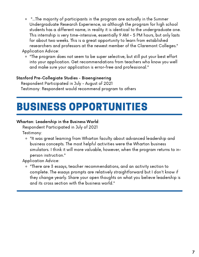- "...The majority of participants in the program are actually in the Summer  $\circ$ Undergraduate Research Experience, so although the program for high school students has a different name, in reality it is identical to the undergraduate one. This internship is very time-intensive, essentially 9 AM - 5 PM hours, but only lasts for about two weeks. This is a great opportunity to learn from established researchers and professors at the newest member of the Claremont Colleges." Application Advice:
	- "The program does not seem to be super selective, but still put your best effort into your application. Get recommendations from teachers who know you well and make sure your application is error-free and professional."

#### Stanford Pre-Collegiate Studies - Bioengineering

Respondent Participated in July - August of 2021 Testimony: Respondent would recommend program to others

### BUSINESS OPPORTUNITIES

#### Wharton: Leadership in the Business World:

Respondent Participated in July of 2021 Testimony:

"It was great learning from Wharton faculty about advanced leadership and business concepts. The most helpful activities were the Wharton business simulators. I think it will more valuable, however, when the program returns to inperson instruction."

Application Advice:

"There are 3 essays, teacher recommendations, and an activity section to complete. The essays prompts are relatively straightforward but I don't know if they change yearly. Share your open thoughts on what you believe leadership is and its cross section with the business world."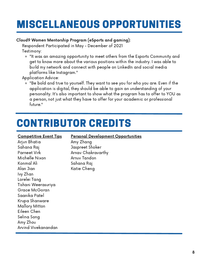### MISCELLANEOUS OPPORTUNITIES

#### Cloud9 Women Mentorship Program (eSports and gaming):

Respondent Participated in May - December of 2021

Testimony:

"It was an amazing opportunity to meet others from the Esports Community and get to know more about the various positions within the industry. I was able to build my network and connect with people on LinkedIn and social media platforms like Instagram."

Application Advice:

"Be bold and true to yourself. They want to see you for who you are. Even if the application is digital, they should be able to gain an understanding of your personality. It's also important to show what the program has to offer to YOU as a person, not just what they have to offer for your academic or professional future."

### CONTRIBUTOR CREDITS

#### Competitive Event Tips

Arjun Bhatia Sahana Raj Parneet Virk Michelle Nixon Konmal Ali Alan Jian Ivy Zhan Lorelei Tang Tishani Weerasuriya Grace McGoran Saanika Patel Krupa Shanware Mallory Mitton Eileen Chen Selina Song Amy Zhou Arvind Vivekanandan

#### Personal Development Opportunities

Amy Zhang Jaspreet Shoker Arnav Chakravarthy Arnuv Tandon Sahana Raj Katie Cheng